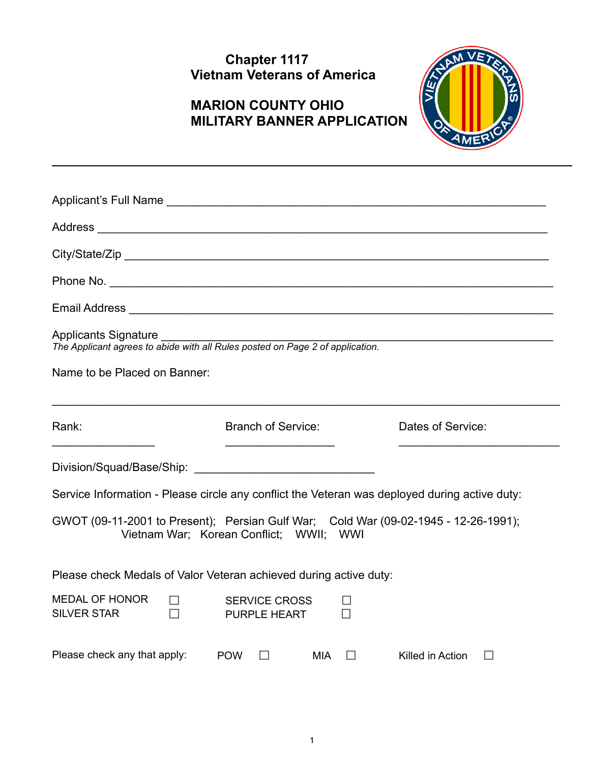## **Chapter 1117 Vietnam Veterans of America**

# **MARION COUNTY OHIO MILITARY BANNER APPLICATION**



| <b>Applicants Signature</b><br>The Applicant agrees to abide with all Rules posted on Page 2 of application.<br>Name to be Placed on Banner: |                                             |                            |
|----------------------------------------------------------------------------------------------------------------------------------------------|---------------------------------------------|----------------------------|
| Rank:                                                                                                                                        | <b>Branch of Service:</b>                   | Dates of Service:          |
|                                                                                                                                              |                                             |                            |
| Service Information - Please circle any conflict the Veteran was deployed during active duty:                                                |                                             |                            |
| GWOT (09-11-2001 to Present); Persian Gulf War; Cold War (09-02-1945 - 12-26-1991);<br>Vietnam War; Korean Conflict; WWII; WWI               |                                             |                            |
| Please check Medals of Valor Veteran achieved during active duty:                                                                            |                                             |                            |
| MEDAL OF HONOR<br>ш<br>$\Box$<br><b>SILVER STAR</b>                                                                                          | <b>SERVICE CROSS</b><br><b>PURPLE HEART</b> |                            |
| Please check any that apply: POW                                                                                                             | MIA<br>□<br>$\Box$                          | Killed in Action<br>$\Box$ |